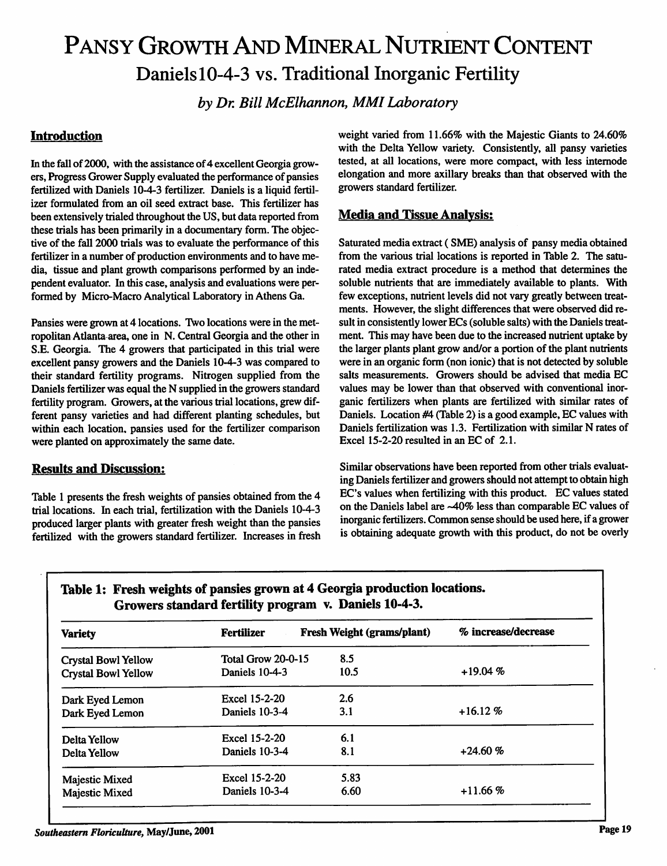## PANSY GROWTH AND MINERAL NUTRIENT CONTENT Daniels10-4-3 vs. Traditional Inorganic Fertility

*by Dr. Bill McElhannon, MMI Laboratory*

#### *Introduction*

In the fall of 2000, with the assistance of 4 excellent Georgia growers, Progress Grower Supply evaluated the performance of pansies fertilized with Daniels 10-4-3 fertilizer. Daniels is a liquid fertil izer formulated from an oil seed extract base. This fertilizer has been extensively trialed throughout the US, but data reported from these trials has been primarily in a documentary form. The objec tive of the fall 2000 trials was to evaluate the performance of this fertilizer in a number of production environments and to have me dia, tissue and plant growth comparisons performed by an inde pendent evaluator. In this case, analysis and evaluations were per formed by Micro-Macro Analytical Laboratory in Athens Ga.

Pansies were grown at 4 locations. Two locations were in the met ropolitan Atlanta area, one in N. Central Georgia and the other in S.E. Georgia. The 4 growers that participated in this trial were excellent pansy growers and the Daniels 10-4-3 was compared to their standard fertility programs. Nitrogen supplied from the Daniels fertilizer was equal the N supplied in the growers standard fertility program. Growers, at the various trial locations, grew different pansy varieties and had different planting schedules, but within each location, pansies used for the fertilizer comparison were planted on approximately the same date.

#### *Results and Discussion:*

Table 1 presents the fresh weights of pansies obtained from the 4 trial locations. In each trial, fertilization with the Daniels 10-4-3 produced larger plants with greater fresh weight than the pansies fertilized with the growers standard fertilizer. Increases in fresh weight varied from 11.66% with the Majestic Giants to 24.60% with the Delta Yellow variety. Consistently, all pansy varieties tested, at all locations, were more compact, with less internode elongation and more axillary breaks than that observed with the growers standard fertilizer.

#### *Media and Tissue Analysis:*

Saturated media extract (SME) analysis of pansy media obtained from the various trial locations is reported in Table 2. The satu rated media extract procedure is a method that determines the soluble nutrients that are immediately available to plants. With few exceptions, nutrient levels did not vary greatly between treat ments. However, the slight differences that were observed did re sult in consistently lower ECs (soluble salts) with the Daniels treat ment. This may have been due to the increased nutrient uptake by the larger plants plant grow and/or a portion of the plant nutrients were in an organic form (non ionic) that is not detected by soluble salts measurements. Growers should be advised that media EC values may be lower than that observed with conventional inor ganic fertilizers when plants are fertilized with similar rates of Daniels. Location #4 (Table 2) is a good example, EC values with Daniels fertilization was 1.3. Fertilization with similar N rates of Excel 15-2-20 resulted in an EC of 2.1.

Similar observations have been reported from other trials evaluat ing Daniels fertilizer and growers should not attempt to obtain high EC's values when fertilizing with this product. EC values stated on the Daniels label are ~40% less than comparable EC values of inorganic fertilizers. Common sense should be used here, if a grower is obtaining adequate growth with this product, do not be overly

| <b>Variety</b>             | <b>Fertilizer</b>  | Fresh Weight (grams/plant) | % increase/decrease |
|----------------------------|--------------------|----------------------------|---------------------|
| <b>Crystal Bowl Yellow</b> | Total Grow 20-0-15 | 8.5                        |                     |
| <b>Crystal Bowl Yellow</b> | Daniels 10-4-3     | 10.5                       | $+19.04%$           |
| Dark Eyed Lemon            | Excel 15-2-20      | 2.6                        |                     |
| Dark Eyed Lemon            | Daniels 10-3-4     | 3.1                        | $+16.12%$           |
| Delta Yellow               | Excel 15-2-20      | 6.1                        |                     |
| Delta Yellow               | Daniels 10-3-4     | 8.1                        | $+24.60%$           |
| Majestic Mixed             | Excel 15-2-20      | 5.83                       |                     |
| Majestic Mixed             | Daniels 10-3-4     | 6.60                       | $+11.66%$           |

#### *Table 1: Fresh weights of pansies grown at 4 Georgia production locations. Growers standard fertility program v. Daniels 10-4-3.*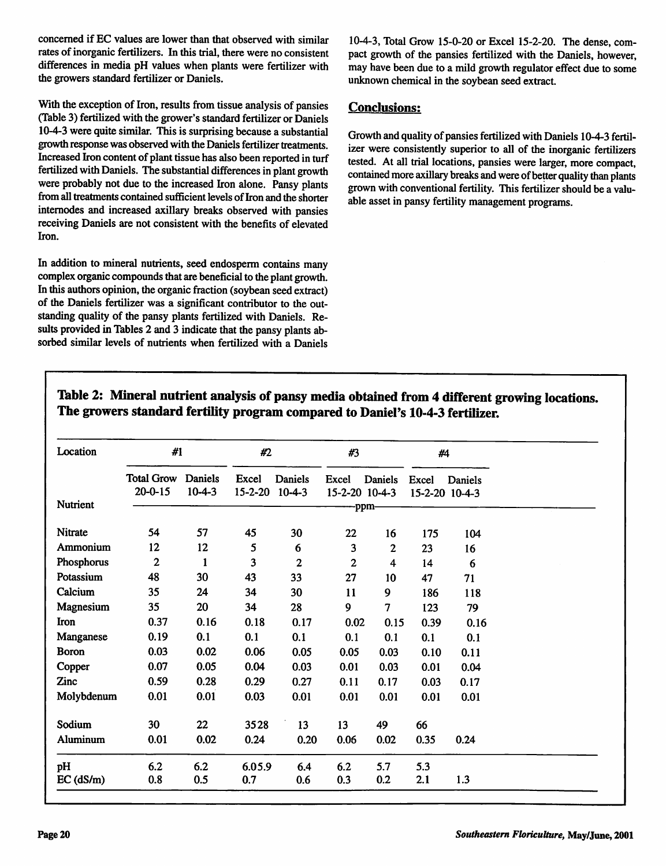concerned if EC values are lower than that observed with similar rates of inorganic fertilizers. In this trial, there were no consistent differences in media pH values when plants were fertilizer with the growers standard fertilizer or Daniels.

With the exception of Iron, results from tissue analysis of pansies (Table 3) fertilized with the grower's standard fertilizer or Daniels 10-4-3 were quite similar. This is surprising because a substantial growth response was observed with the Daniels fertilizer treatments. Increased Iron content of plant tissue has also been reported in turf fertilized with Daniels. The substantial differences in plant growth were probably not due to the increased Iron alone. Pansy plants from all treatments contained sufficient levels of Iron and the shorter internodes and increased axillary breaks observed with pansies receiving Daniels are not consistent with the benefits of elevated Iron.

In addition to mineral nutrients, seed endosperm contains many complex organic compounds that are beneficial to the plant growth. In this authors opinion, the organic fraction (soybean seed extract) of the Daniels fertilizer was a significant contributor to the out standing quality of the pansy plants fertilized with Daniels. Re sults provided in Tables 2 and 3 indicate that the pansy plants absorbed similar levels of nutrients when fertilized with a Daniels

10-4-3, Total Grow 15-0-20 or Excel 15-2-20. The dense, com pact growth of the pansies fertilized with the Daniels, however, may have been due to a mild growth regulator effect due to some unknown chemical in the soybean seed extract.

#### *Conclusions:*

Growth and quality of pansies fertilized with Daniels 10-4-3 fertil izer were consistently superior to all of the inorganic fertilizers tested. At all trial locations, pansies were larger, more compact, contained more axillary breaks and were of better quality than plants grown with conventional fertility. This fertilizer should be a valuable asset in pansy fertility management programs.

| Location        | #1                                 |                     | #2                      |                | #3                      |                | #4                      |         |  |
|-----------------|------------------------------------|---------------------|-------------------------|----------------|-------------------------|----------------|-------------------------|---------|--|
| <b>Nutrient</b> | <b>Total Grow</b><br>$20 - 0 - 15$ | Daniels<br>$10-4-3$ | Excel<br>15-2-20 10-4-3 | <b>Daniels</b> | Excel<br>15-2-20 10-4-3 | Daniels        | Excel<br>15-2-20 10-4-3 | Daniels |  |
|                 |                                    |                     |                         |                | .ppm                    |                |                         |         |  |
| <b>Nitrate</b>  | 54                                 | 57                  | 45                      | 30             | 22                      | 16             | 175                     | 104     |  |
| Ammonium        | 12                                 | 12                  | 5                       | 6              | 3                       | $\overline{2}$ | 23                      | 16      |  |
| Phosphorus      | 2                                  | $\mathbf{1}$        | 3                       | $\overline{2}$ | $\mathbf{2}$            | 4              | 14                      | 6       |  |
| Potassium       | 48                                 | 30                  | 43                      | 33             | 27                      | 10             | 47                      | 71      |  |
| Calcium         | 35                                 | 24                  | 34                      | 30             | 11                      | 9              | 186                     | 118     |  |
| Magnesium       | 35                                 | 20                  | 34                      | 28             | 9                       | 7              | 123                     | 79      |  |
| Iron            | 0.37                               | 0.16                | 0.18                    | 0.17           | 0.02                    | 0.15           | 0.39                    | 0.16    |  |
| Manganese       | 0.19                               | 0.1                 | 0.1                     | 0.1            | 0.1                     | 0.1            | 0.1                     | 0.1     |  |
| <b>Boron</b>    | 0.03                               | 0.02                | 0.06                    | 0.05           | 0.05                    | 0.03           | 0.10                    | 0.11    |  |
| Copper          | 0.07                               | 0.05                | 0.04                    | 0.03           | 0.01                    | 0.03           | 0.01                    | 0.04    |  |
| Zinc            | 0.59                               | 0.28                | 0.29                    | 0.27           | 0.11                    | 0.17           | 0.03                    | 0.17    |  |
| Molybdenum      | 0.01                               | 0.01                | 0.03                    | 0.01           | 0.01                    | 0.01           | 0.01                    | 0.01    |  |
| Sodium          | 30                                 | 22                  | 3528                    | 13             | 13                      | 49             | 66                      |         |  |
| Aluminum        | 0.01                               | 0.02                | 0.24                    | 0.20           | 0.06                    | 0.02           | 0.35                    | 0.24    |  |
| pH              | 6.2                                | 6.2                 | 6.05.9                  | 6.4            | 6.2                     | 5.7            | 5.3                     |         |  |
| $EC$ ( $dS/m$ ) | 0.8                                | 0.5                 | 0.7                     | 0.6            | 0.3                     | 0.2            | 2.1                     | 1.3     |  |

#### *Table 2: Mineral nutrient analysis of pansymediaobtained from 4 different growing locations. The growers standard fertility program compared to Daniel's 10-4-3 fertilizer.*